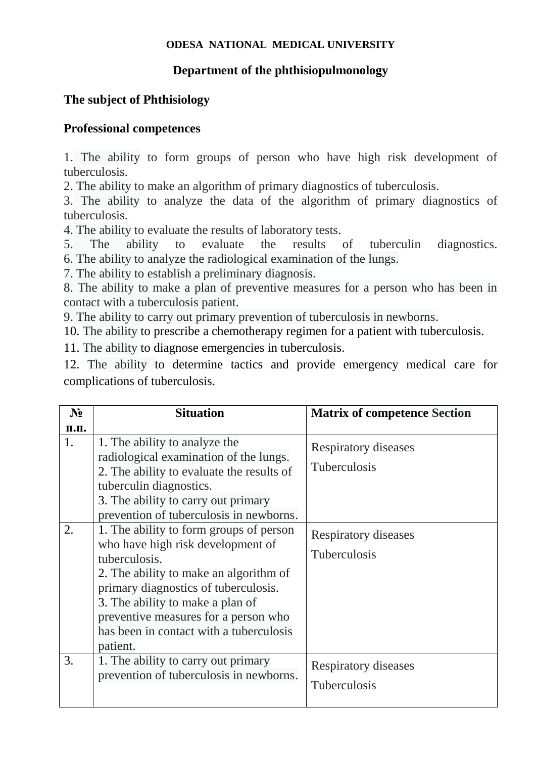## **ODESA NATIONAL MEDICAL UNIVERSITY**

## **Department of the phthisiopulmonology**

## **The subject of Phthisiology**

## **Professional competences**

1. The ability to form groups of person who have high risk development of tuberculosis.

2. The ability to make an algorithm of primary diagnostics of tuberculosis.

3. The ability to analyze the data of the algorithm of primary diagnostics of tuberculosis.

4. The ability to evaluate the results of laboratory tests.

5. The ability to evaluate the results of tuberculin diagnostics. 6. The ability to analyze the radiological examination of the lungs.

7. The ability to establish a preliminary diagnosis.

8. The ability to make a plan of preventive measures for a person who has been in contact with a tuberculosis patient.

9. The ability to carry out primary prevention of tuberculosis in newborns.

10. The ability to prescribe a chemotherapy regimen for a patient with tuberculosis.

11. The ability to diagnose emergencies in tuberculosis.

12. The ability to determine tactics and provide emergency medical care for complications of tuberculosis.

| $N_2$    | <b>Situation</b>                                                                                                                                                                                                                                                                                                                                                                                                     | <b>Matrix of competence Section</b>                                                        |
|----------|----------------------------------------------------------------------------------------------------------------------------------------------------------------------------------------------------------------------------------------------------------------------------------------------------------------------------------------------------------------------------------------------------------------------|--------------------------------------------------------------------------------------------|
| п.п.     |                                                                                                                                                                                                                                                                                                                                                                                                                      |                                                                                            |
| 1.<br>2. | 1. The ability to analyze the<br>radiological examination of the lungs.<br>2. The ability to evaluate the results of<br>tuberculin diagnostics.<br>3. The ability to carry out primary<br>prevention of tuberculosis in newborns.<br>1. The ability to form groups of person<br>who have high risk development of<br>tuberculosis.<br>2. The ability to make an algorithm of<br>primary diagnostics of tuberculosis. | Respiratory diseases<br><b>Tuberculosis</b><br>Respiratory diseases<br><b>Tuberculosis</b> |
| 3.       | 3. The ability to make a plan of<br>preventive measures for a person who<br>has been in contact with a tuberculosis<br>patient.<br>1. The ability to carry out primary<br>prevention of tuberculosis in newborns.                                                                                                                                                                                                    | Respiratory diseases                                                                       |
|          |                                                                                                                                                                                                                                                                                                                                                                                                                      | <b>Tuberculosis</b>                                                                        |